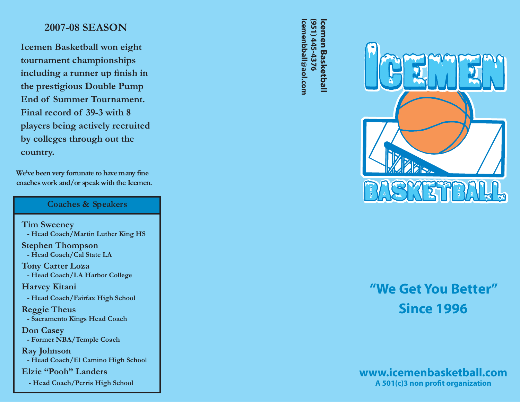## **2007-08 SEASON**

**Icemen Basketball won eight tournament championships including a runner up finish in the prestigious Double Pump End of Summer Tournament. Final record of 39-3 with 8 players being actively recruited by colleges through out the country.**

We've been very fortunate to have many fine coaches work and/or speak with the Icemen.

#### **Coaches & Speakers**

**Tim Sweeney - Head Coach/Martin Luther King HS Stephen Thompson - Head Coach/Cal State LA**

**Tony Carter Loza - Head Coach/LA Harbor College**

**Harvey Kitani** 

 **- Head Coach/Fairfax High School**

**Reggie Theus - Sacramento Kings Head Coach**

**Don Casey - Former NBA/Temple Coach**

**Ray Johnson - Head Coach/El Camino High School**

**Elzie "Pooh" Landers** 

**- Head Coach/Perris High School**

**Icemenbball@aol.com (951) 445-4376 Icemen Basket Based Based Based Based Based Based Based Based Based Based Based B** lcemenbball@aol.com (951) 445-4376 **cemen Basketball** 



# **"We Get You Better"Since 1996**

### **www.icemenbasketball.comA 501(c)3 non profit organization**